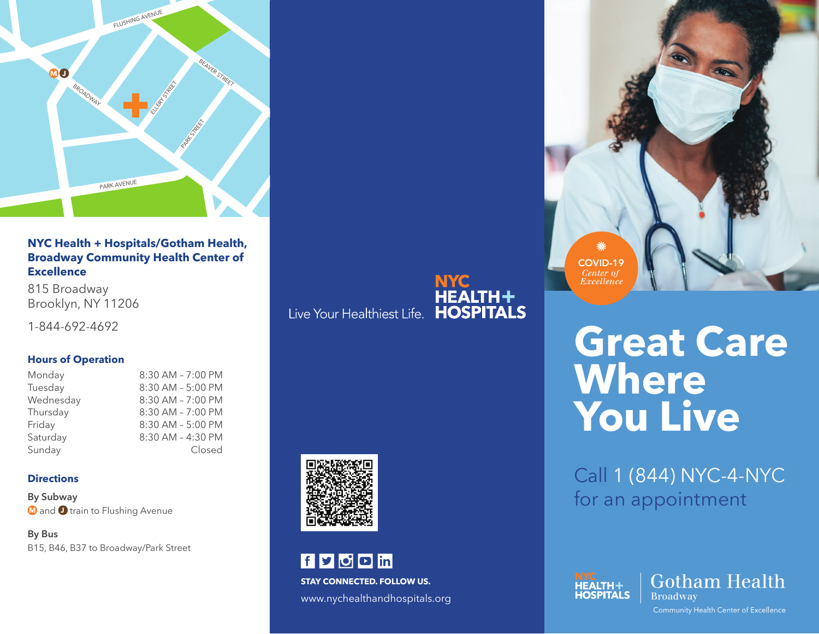

**NYC Health + Hospitals/Gotham Health, Broadway Community Health Center of Excellence**

815 Broadway Brooklyn, NY 11206

1-844-692-4692

# **Hours of Operation**

| Monday    | 8:30 AM - 7:00 PM |
|-----------|-------------------|
| Tuesday   | 8:30 AM - 5:00 PM |
| Wednesday | 8:30 AM - 7:00 PM |
| Thursday  | 8:30 AM - 7:00 PM |
| Friday    | 8:30 AM - 5:00 PM |
| Saturday  | 8:30 AM - 4:30 PM |
| Sunday    | Closed            |

# **Directions**

**By Subway**  $\blacksquare$  and  $\blacksquare$  train to Flushing Avenue

**By Bus** B15, B46, B37 to Broadway/Park Street **NYC**<br>HEALTH+<br>Live Your Healthiest Life. HOSPITALS



f y o o in **STAY CONNECTED. FOLLOW US.** www.nychealthandhospitals.org





# **Great Care Where You Live**

Call 1 (844) NYC-4-NYC for an appointment





Community Health Center of Excellence